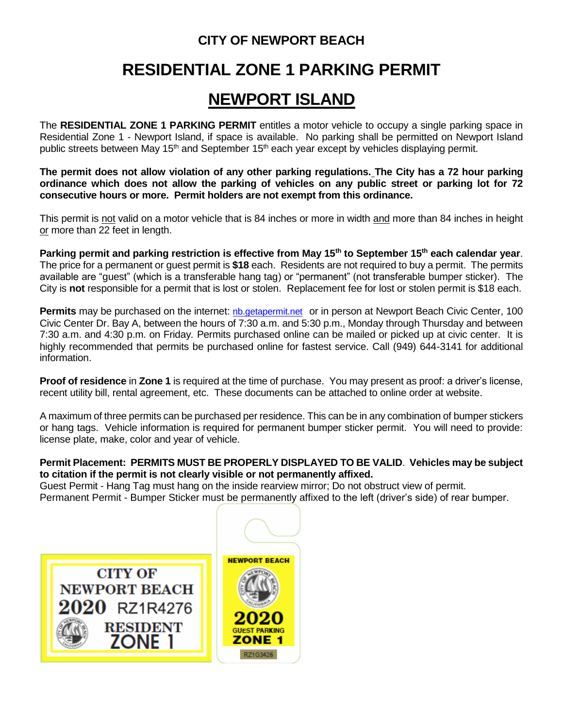## **CITY OF NEWPORT BEACH**

## **RESIDENTIAL ZONE 1 PARKING PERMIT**

## **NEWPORT ISLAND**

The **RESIDENTIAL ZONE 1 PARKING PERMIT** entitles a motor vehicle to occupy a single parking space in Residential Zone 1 - Newport Island, if space is available. No parking shall be permitted on Newport Island public streets between May 15<sup>th</sup> and September 15<sup>th</sup> each year except by vehicles displaying permit.

**The permit does not allow violation of any other parking regulations. The City has a 72 hour parking ordinance which does not allow the parking of vehicles on any public street or parking lot for 72 consecutive hours or more. Permit holders are not exempt from this ordinance.** 

This permit is not valid on a motor vehicle that is 84 inches or more in width and more than 84 inches in height or more than 22 feet in length.

**Parking permit and parking restriction is effective from May 15th to September 15th each calendar year**. The price for a permanent or guest permit is **\$18** each. Residents are not required to buy a permit. The permits available are "guest" (which is a transferable hang tag) or "permanent" (not transferable bumper sticker). The City is **not** responsible for a permit that is lost or stolen. Replacement fee for lost or stolen permit is \$18 each.

**Permits** may be purchased on the internet: *[nb.getapermit.net](http://www/bnewportbeachca.gov)* or in person at Newport Beach Civic Center, 100 Civic Center Dr. Bay A, between the hours of 7:30 a.m. and 5:30 p.m., Monday through Thursday and between 7:30 a.m. and 4:30 p.m. on Friday*.* Permits purchased online can be mailed or picked up at civic center. It is highly recommended that permits be purchased online for fastest service. Call (949) 644-3141 for additional information.

**Proof of residence** in **Zone 1** is required at the time of purchase. You may present as proof: a driver's license, recent utility bill, rental agreement, etc. These documents can be attached to online order at website.

A maximum of three permits can be purchased per residence. This can be in any combination of bumper stickers or hang tags. Vehicle information is required for permanent bumper sticker permit. You will need to provide: license plate, make, color and year of vehicle.

## **Permit Placement: PERMITS MUST BE PROPERLY DISPLAYED TO BE VALID**. **Vehicles may be subject to citation if the permit is not clearly visible or not permanently affixed.**

Guest Permit - Hang Tag must hang on the inside rearview mirror; Do not obstruct view of permit. Permanent Permit - Bumper Sticker must be permanently affixed to the left (driver's side) of rear bumper.